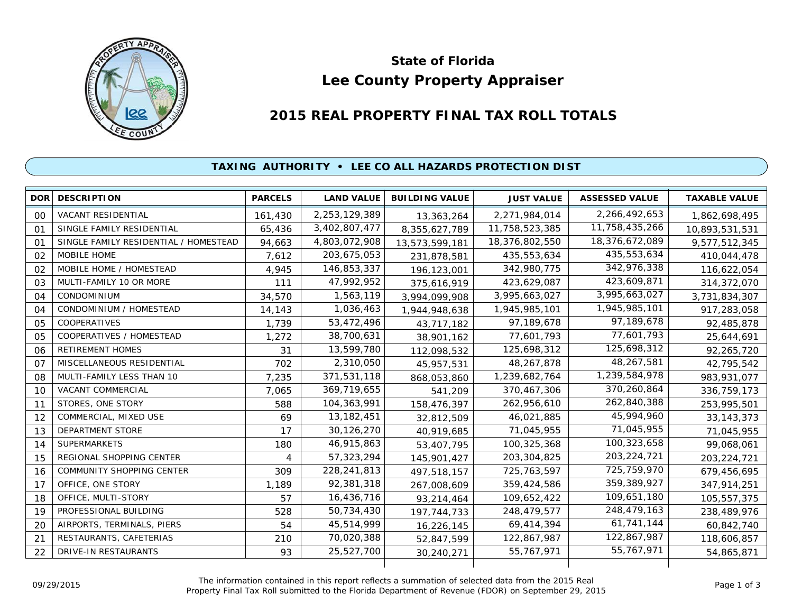

# **Lee County Property Appraiser State of Florida**

# **2015 REAL PROPERTY FINAL TAX ROLL TOTALS**

## **TAXING AUTHORITY • LEE CO ALL HAZARDS PROTECTION DIST**

| <b>DOR</b>     | <b>DESCRIPTION</b>                    | <b>PARCELS</b> | <b>LAND VALUE</b> | <b>BUILDING VALUE</b> | <b>JUST VALUE</b> | <b>ASSESSED VALUE</b> | <b>TAXABLE VALUE</b> |
|----------------|---------------------------------------|----------------|-------------------|-----------------------|-------------------|-----------------------|----------------------|
| 00             | VACANT RESIDENTIAL                    | 161,430        | 2,253,129,389     | 13,363,264            | 2,271,984,014     | 2,266,492,653         | 1,862,698,495        |
| 01             | SINGLE FAMILY RESIDENTIAL             | 65,436         | 3,402,807,477     | 8,355,627,789         | 11,758,523,385    | 11,758,435,266        | 10,893,531,531       |
| 01             | SINGLE FAMILY RESIDENTIAL / HOMESTEAD | 94,663         | 4,803,072,908     | 13,573,599,181        | 18,376,802,550    | 18,376,672,089        | 9,577,512,345        |
| 02             | MOBILE HOME                           | 7,612          | 203,675,053       | 231,878,581           | 435,553,634       | 435,553,634           | 410,044,478          |
| 02             | MOBILE HOME / HOMESTEAD               | 4,945          | 146,853,337       | 196,123,001           | 342,980,775       | 342,976,338           | 116,622,054          |
| 03             | MULTI-FAMILY 10 OR MORE               | 111            | 47,992,952        | 375,616,919           | 423,629,087       | 423,609,871           | 314,372,070          |
| O <sub>4</sub> | <b>CONDOMINIUM</b>                    | 34,570         | 1,563,119         | 3,994,099,908         | 3,995,663,027     | 3,995,663,027         | 3,731,834,307        |
| 04             | CONDOMINIUM / HOMESTEAD               | 14,143         | 1,036,463         | 1,944,948,638         | 1,945,985,101     | 1,945,985,101         | 917,283,058          |
| 05             | COOPERATIVES                          | 1,739          | 53,472,496        | 43,717,182            | 97,189,678        | 97,189,678            | 92,485,878           |
| 05             | COOPERATIVES / HOMESTEAD              | 1,272          | 38,700,631        | 38,901,162            | 77,601,793        | 77,601,793            | 25,644,691           |
| 06             | <b>RETIREMENT HOMES</b>               | 31             | 13,599,780        | 112,098,532           | 125,698,312       | 125,698,312           | 92,265,720           |
| 07             | MISCELLANEOUS RESIDENTIAL             | 702            | 2,310,050         | 45,957,531            | 48,267,878        | 48,267,581            | 42,795,542           |
| 08             | MULTI-FAMILY LESS THAN 10             | 7,235          | 371,531,118       | 868,053,860           | 1,239,682,764     | 1,239,584,978         | 983, 931, 077        |
| 10             | VACANT COMMERCIAL                     | 7,065          | 369,719,655       | 541,209               | 370,467,306       | 370,260,864           | 336,759,173          |
| 11             | STORES, ONE STORY                     | 588            | 104,363,991       | 158,476,397           | 262,956,610       | 262,840,388           | 253,995,501          |
| 12             | COMMERCIAL, MIXED USE                 | 69             | 13, 182, 451      | 32,812,509            | 46,021,885        | 45,994,960            | 33, 143, 373         |
| 13             | <b>DEPARTMENT STORE</b>               | 17             | 30,126,270        | 40,919,685            | 71,045,955        | 71,045,955            | 71,045,955           |
| 14             | <b>SUPERMARKETS</b>                   | 180            | 46,915,863        | 53,407,795            | 100,325,368       | 100,323,658           | 99,068,061           |
| 15             | REGIONAL SHOPPING CENTER              | 4              | 57,323,294        | 145,901,427           | 203, 304, 825     | 203, 224, 721         | 203, 224, 721        |
| 16             | <b>COMMUNITY SHOPPING CENTER</b>      | 309            | 228,241,813       | 497,518,157           | 725,763,597       | 725,759,970           | 679,456,695          |
| 17             | OFFICE, ONE STORY                     | 1,189          | 92,381,318        | 267,008,609           | 359,424,586       | 359,389,927           | 347,914,251          |
| 18             | OFFICE, MULTI-STORY                   | 57             | 16,436,716        | 93,214,464            | 109,652,422       | 109,651,180           | 105,557,375          |
| 19             | PROFESSIONAL BUILDING                 | 528            | 50,734,430        | 197, 744, 733         | 248,479,577       | 248,479,163           | 238,489,976          |
| 20             | AIRPORTS, TERMINALS, PIERS            | 54             | 45,514,999        | 16,226,145            | 69,414,394        | 61,741,144            | 60,842,740           |
| 21             | RESTAURANTS, CAFETERIAS               | 210            | 70,020,388        | 52,847,599            | 122,867,987       | 122,867,987           | 118,606,857          |
| 22             | DRIVE-IN RESTAURANTS                  | 93             | 25,527,700        | 30,240,271            | 55,767,971        | 55,767,971            | 54,865,871           |
|                |                                       |                |                   |                       |                   |                       |                      |

The information contained in this report reflects a summation of selected data from the 2015 Real Ine information contained in this report reflects a summation of selected data from the 2015 Real<br>Property Final Tax Roll submitted to the Florida Department of Revenue (FDOR) on September 29, 2015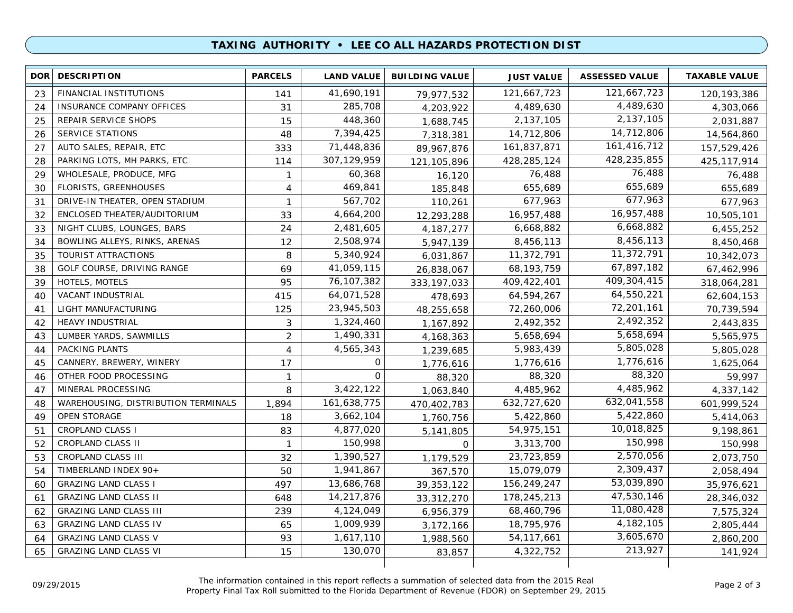### **TAXING AUTHORITY • LEE CO ALL HAZARDS PROTECTION DIST**

| 121,667,723<br>41,690,191<br>FINANCIAL INSTITUTIONS<br>121,667,723<br>23<br>141<br>120, 193, 386<br>79,977,532<br>4,489,630<br>285,708<br>4,489,630<br>INSURANCE COMPANY OFFICES<br>31<br>24<br>4,203,922<br>4,303,066<br>448,360<br>2,137,105<br>2,137,105<br>REPAIR SERVICE SHOPS<br>25<br>15<br>1,688,745<br>2,031,887<br>14,712,806<br>7,394,425<br>SERVICE STATIONS<br>14,712,806<br>26<br>48<br>14,564,860<br>7,318,381<br>161,416,712<br>AUTO SALES, REPAIR, ETC<br>71,448,836<br>333<br>161,837,871<br>27<br>157,529,426<br>89,967,876<br>428,235,855<br>PARKING LOTS, MH PARKS, ETC<br>307, 129, 959<br>428,285,124<br>28<br>114<br>425, 117, 914<br>121,105,896<br>76,488<br>60,368<br>WHOLESALE, PRODUCE, MFG<br>76,488<br>29<br>$\mathbf{1}$<br>76,488<br>16,120<br>655,689<br>469,841<br>FLORISTS, GREENHOUSES<br>655,689<br>655,689<br>30<br>4<br>185,848<br>677,963<br>567,702<br>677,963<br>DRIVE-IN THEATER, OPEN STADIUM<br>$\mathbf{1}$<br>677,963<br>31<br>110,261<br>16,957,488<br>4,664,200<br>16,957,488<br>32<br>ENCLOSED THEATER/AUDITORIUM<br>33<br>10,505,101<br>12,293,288<br>6,668,882<br>2,481,605<br>6,668,882<br>33<br>NIGHT CLUBS, LOUNGES, BARS<br>24<br>6,455,252<br>4, 187, 277<br>8,456,113<br>2,508,974<br>BOWLING ALLEYS, RINKS, ARENAS<br>8,456,113<br>34<br>12<br>5,947,139<br>8,450,468<br>11,372,791<br>5,340,924<br>TOURIST ATTRACTIONS<br>11,372,791<br>35<br>8<br>6,031,867<br>10,342,073<br>67,897,182<br>41,059,115<br>GOLF COURSE, DRIVING RANGE<br>68,193,759<br>38<br>69<br>26,838,067<br>67,462,996<br>409, 304, 415<br>76,107,382<br>HOTELS, MOTELS<br>95<br>409,422,401<br>39<br>333, 197, 033<br>318,064,281<br>64,550,221<br>64,071,528<br>VACANT INDUSTRIAL<br>415<br>64,594,267<br>40<br>478,693<br>62,604,153<br>72,201,161<br>LIGHT MANUFACTURING<br>125<br>23,945,503<br>72,260,006<br>41<br>70,739,594<br>48,255,658<br>2,492,352<br><b>HEAVY INDUSTRIAL</b><br>3<br>1,324,460<br>2,492,352<br>42<br>2,443,835<br>1,167,892<br>5,658,694<br>1,490,331<br>LUMBER YARDS, SAWMILLS<br>$\overline{2}$<br>5,658,694<br>5,565,975<br>43<br>4, 168, 363<br>5,805,028<br>PACKING PLANTS<br>4,565,343<br>5,983,439<br>44<br>4<br>5,805,028<br>1,239,685<br>1,776,616<br>0<br>CANNERY, BREWERY, WINERY<br>1,776,616<br>17<br>1,625,064<br>45<br>1,776,616<br>88,320<br>O<br>OTHER FOOD PROCESSING<br>88,320<br>59,997<br>46<br>$\mathbf{1}$<br>88,320<br>4,485,962<br>MINERAL PROCESSING<br>8<br>3,422,122<br>4,485,962<br>47<br>1,063,840<br>4,337,142<br>632,041,558<br>161,638,775<br>632,727,620<br>WAREHOUSING, DISTRIBUTION TERMINALS<br>1,894<br>601,999,524<br>48<br>470,402,783<br>5,422,860<br><b>OPEN STORAGE</b><br>3,662,104<br>5,422,860<br>49<br>18<br>5,414,063<br>1,760,756<br>10,018,825<br>4,877,020<br>54,975,151<br>51<br><b>CROPLAND CLASS I</b><br>83<br>9,198,861<br>5,141,805<br>150,998<br>CROPLAND CLASS II<br>150,998<br>3,313,700<br>52<br>$\mathbf{1}$<br>150,998<br>0<br>2,570,056<br>CROPLAND CLASS III<br>1,390,527<br>23,723,859<br>53<br>32<br>2,073,750<br>1,179,529<br>2,309,437<br>1,941,867<br>TIMBERLAND INDEX 90+<br>15,079,079<br>54<br>50<br>2,058,494<br>367,570<br>53,039,890<br>13,686,768<br><b>GRAZING LAND CLASS I</b><br>156,249,247<br>497<br>35,976,621<br>60<br>39, 353, 122<br>47,530,146<br><b>GRAZING LAND CLASS II</b><br>14,217,876<br>178,245,213<br>648<br>61<br>33,312,270<br>28,346,032<br>11,080,428<br><b>GRAZING LAND CLASS III</b><br>4,124,049<br>68,460,796<br>239<br>62<br>7,575,324<br>6,956,379<br>4, 182, 105<br><b>GRAZING LAND CLASS IV</b><br>1,009,939<br>18,795,976<br>65<br>63<br>2,805,444<br>3,172,166<br>3,605,670<br>1,617,110<br><b>GRAZING LAND CLASS V</b><br>54, 117, 661<br>93<br>64<br>1,988,560<br>2,860,200<br>213,927<br>130,070<br><b>GRAZING LAND CLASS VI</b><br>4,322,752<br>65<br>15<br>141,924<br>83,857 | <b>DOR</b> | <b>DESCRIPTION</b> | <b>PARCELS</b> | <b>LAND VALUE</b> | <b>BUILDING VALUE</b> | <b>JUST VALUE</b> | <b>ASSESSED VALUE</b> | <b>TAXABLE VALUE</b> |
|---------------------------------------------------------------------------------------------------------------------------------------------------------------------------------------------------------------------------------------------------------------------------------------------------------------------------------------------------------------------------------------------------------------------------------------------------------------------------------------------------------------------------------------------------------------------------------------------------------------------------------------------------------------------------------------------------------------------------------------------------------------------------------------------------------------------------------------------------------------------------------------------------------------------------------------------------------------------------------------------------------------------------------------------------------------------------------------------------------------------------------------------------------------------------------------------------------------------------------------------------------------------------------------------------------------------------------------------------------------------------------------------------------------------------------------------------------------------------------------------------------------------------------------------------------------------------------------------------------------------------------------------------------------------------------------------------------------------------------------------------------------------------------------------------------------------------------------------------------------------------------------------------------------------------------------------------------------------------------------------------------------------------------------------------------------------------------------------------------------------------------------------------------------------------------------------------------------------------------------------------------------------------------------------------------------------------------------------------------------------------------------------------------------------------------------------------------------------------------------------------------------------------------------------------------------------------------------------------------------------------------------------------------------------------------------------------------------------------------------------------------------------------------------------------------------------------------------------------------------------------------------------------------------------------------------------------------------------------------------------------------------------------------------------------------------------------------------------------------------------------------------------------------------------------------------------------------------------------------------------------------------------------------------------------------------------------------------------------------------------------------------------------------------------------------------------------------------------------------------------------------------------------------------------------------------------------------------------------------------------------------------------------------------------------------------------------------------------------------------------------------------------------------------------------------------------------------------------------------------|------------|--------------------|----------------|-------------------|-----------------------|-------------------|-----------------------|----------------------|
|                                                                                                                                                                                                                                                                                                                                                                                                                                                                                                                                                                                                                                                                                                                                                                                                                                                                                                                                                                                                                                                                                                                                                                                                                                                                                                                                                                                                                                                                                                                                                                                                                                                                                                                                                                                                                                                                                                                                                                                                                                                                                                                                                                                                                                                                                                                                                                                                                                                                                                                                                                                                                                                                                                                                                                                                                                                                                                                                                                                                                                                                                                                                                                                                                                                                                                                                                                                                                                                                                                                                                                                                                                                                                                                                                                                                                                                               |            |                    |                |                   |                       |                   |                       |                      |
|                                                                                                                                                                                                                                                                                                                                                                                                                                                                                                                                                                                                                                                                                                                                                                                                                                                                                                                                                                                                                                                                                                                                                                                                                                                                                                                                                                                                                                                                                                                                                                                                                                                                                                                                                                                                                                                                                                                                                                                                                                                                                                                                                                                                                                                                                                                                                                                                                                                                                                                                                                                                                                                                                                                                                                                                                                                                                                                                                                                                                                                                                                                                                                                                                                                                                                                                                                                                                                                                                                                                                                                                                                                                                                                                                                                                                                                               |            |                    |                |                   |                       |                   |                       |                      |
|                                                                                                                                                                                                                                                                                                                                                                                                                                                                                                                                                                                                                                                                                                                                                                                                                                                                                                                                                                                                                                                                                                                                                                                                                                                                                                                                                                                                                                                                                                                                                                                                                                                                                                                                                                                                                                                                                                                                                                                                                                                                                                                                                                                                                                                                                                                                                                                                                                                                                                                                                                                                                                                                                                                                                                                                                                                                                                                                                                                                                                                                                                                                                                                                                                                                                                                                                                                                                                                                                                                                                                                                                                                                                                                                                                                                                                                               |            |                    |                |                   |                       |                   |                       |                      |
|                                                                                                                                                                                                                                                                                                                                                                                                                                                                                                                                                                                                                                                                                                                                                                                                                                                                                                                                                                                                                                                                                                                                                                                                                                                                                                                                                                                                                                                                                                                                                                                                                                                                                                                                                                                                                                                                                                                                                                                                                                                                                                                                                                                                                                                                                                                                                                                                                                                                                                                                                                                                                                                                                                                                                                                                                                                                                                                                                                                                                                                                                                                                                                                                                                                                                                                                                                                                                                                                                                                                                                                                                                                                                                                                                                                                                                                               |            |                    |                |                   |                       |                   |                       |                      |
|                                                                                                                                                                                                                                                                                                                                                                                                                                                                                                                                                                                                                                                                                                                                                                                                                                                                                                                                                                                                                                                                                                                                                                                                                                                                                                                                                                                                                                                                                                                                                                                                                                                                                                                                                                                                                                                                                                                                                                                                                                                                                                                                                                                                                                                                                                                                                                                                                                                                                                                                                                                                                                                                                                                                                                                                                                                                                                                                                                                                                                                                                                                                                                                                                                                                                                                                                                                                                                                                                                                                                                                                                                                                                                                                                                                                                                                               |            |                    |                |                   |                       |                   |                       |                      |
|                                                                                                                                                                                                                                                                                                                                                                                                                                                                                                                                                                                                                                                                                                                                                                                                                                                                                                                                                                                                                                                                                                                                                                                                                                                                                                                                                                                                                                                                                                                                                                                                                                                                                                                                                                                                                                                                                                                                                                                                                                                                                                                                                                                                                                                                                                                                                                                                                                                                                                                                                                                                                                                                                                                                                                                                                                                                                                                                                                                                                                                                                                                                                                                                                                                                                                                                                                                                                                                                                                                                                                                                                                                                                                                                                                                                                                                               |            |                    |                |                   |                       |                   |                       |                      |
|                                                                                                                                                                                                                                                                                                                                                                                                                                                                                                                                                                                                                                                                                                                                                                                                                                                                                                                                                                                                                                                                                                                                                                                                                                                                                                                                                                                                                                                                                                                                                                                                                                                                                                                                                                                                                                                                                                                                                                                                                                                                                                                                                                                                                                                                                                                                                                                                                                                                                                                                                                                                                                                                                                                                                                                                                                                                                                                                                                                                                                                                                                                                                                                                                                                                                                                                                                                                                                                                                                                                                                                                                                                                                                                                                                                                                                                               |            |                    |                |                   |                       |                   |                       |                      |
|                                                                                                                                                                                                                                                                                                                                                                                                                                                                                                                                                                                                                                                                                                                                                                                                                                                                                                                                                                                                                                                                                                                                                                                                                                                                                                                                                                                                                                                                                                                                                                                                                                                                                                                                                                                                                                                                                                                                                                                                                                                                                                                                                                                                                                                                                                                                                                                                                                                                                                                                                                                                                                                                                                                                                                                                                                                                                                                                                                                                                                                                                                                                                                                                                                                                                                                                                                                                                                                                                                                                                                                                                                                                                                                                                                                                                                                               |            |                    |                |                   |                       |                   |                       |                      |
|                                                                                                                                                                                                                                                                                                                                                                                                                                                                                                                                                                                                                                                                                                                                                                                                                                                                                                                                                                                                                                                                                                                                                                                                                                                                                                                                                                                                                                                                                                                                                                                                                                                                                                                                                                                                                                                                                                                                                                                                                                                                                                                                                                                                                                                                                                                                                                                                                                                                                                                                                                                                                                                                                                                                                                                                                                                                                                                                                                                                                                                                                                                                                                                                                                                                                                                                                                                                                                                                                                                                                                                                                                                                                                                                                                                                                                                               |            |                    |                |                   |                       |                   |                       |                      |
|                                                                                                                                                                                                                                                                                                                                                                                                                                                                                                                                                                                                                                                                                                                                                                                                                                                                                                                                                                                                                                                                                                                                                                                                                                                                                                                                                                                                                                                                                                                                                                                                                                                                                                                                                                                                                                                                                                                                                                                                                                                                                                                                                                                                                                                                                                                                                                                                                                                                                                                                                                                                                                                                                                                                                                                                                                                                                                                                                                                                                                                                                                                                                                                                                                                                                                                                                                                                                                                                                                                                                                                                                                                                                                                                                                                                                                                               |            |                    |                |                   |                       |                   |                       |                      |
|                                                                                                                                                                                                                                                                                                                                                                                                                                                                                                                                                                                                                                                                                                                                                                                                                                                                                                                                                                                                                                                                                                                                                                                                                                                                                                                                                                                                                                                                                                                                                                                                                                                                                                                                                                                                                                                                                                                                                                                                                                                                                                                                                                                                                                                                                                                                                                                                                                                                                                                                                                                                                                                                                                                                                                                                                                                                                                                                                                                                                                                                                                                                                                                                                                                                                                                                                                                                                                                                                                                                                                                                                                                                                                                                                                                                                                                               |            |                    |                |                   |                       |                   |                       |                      |
|                                                                                                                                                                                                                                                                                                                                                                                                                                                                                                                                                                                                                                                                                                                                                                                                                                                                                                                                                                                                                                                                                                                                                                                                                                                                                                                                                                                                                                                                                                                                                                                                                                                                                                                                                                                                                                                                                                                                                                                                                                                                                                                                                                                                                                                                                                                                                                                                                                                                                                                                                                                                                                                                                                                                                                                                                                                                                                                                                                                                                                                                                                                                                                                                                                                                                                                                                                                                                                                                                                                                                                                                                                                                                                                                                                                                                                                               |            |                    |                |                   |                       |                   |                       |                      |
|                                                                                                                                                                                                                                                                                                                                                                                                                                                                                                                                                                                                                                                                                                                                                                                                                                                                                                                                                                                                                                                                                                                                                                                                                                                                                                                                                                                                                                                                                                                                                                                                                                                                                                                                                                                                                                                                                                                                                                                                                                                                                                                                                                                                                                                                                                                                                                                                                                                                                                                                                                                                                                                                                                                                                                                                                                                                                                                                                                                                                                                                                                                                                                                                                                                                                                                                                                                                                                                                                                                                                                                                                                                                                                                                                                                                                                                               |            |                    |                |                   |                       |                   |                       |                      |
|                                                                                                                                                                                                                                                                                                                                                                                                                                                                                                                                                                                                                                                                                                                                                                                                                                                                                                                                                                                                                                                                                                                                                                                                                                                                                                                                                                                                                                                                                                                                                                                                                                                                                                                                                                                                                                                                                                                                                                                                                                                                                                                                                                                                                                                                                                                                                                                                                                                                                                                                                                                                                                                                                                                                                                                                                                                                                                                                                                                                                                                                                                                                                                                                                                                                                                                                                                                                                                                                                                                                                                                                                                                                                                                                                                                                                                                               |            |                    |                |                   |                       |                   |                       |                      |
|                                                                                                                                                                                                                                                                                                                                                                                                                                                                                                                                                                                                                                                                                                                                                                                                                                                                                                                                                                                                                                                                                                                                                                                                                                                                                                                                                                                                                                                                                                                                                                                                                                                                                                                                                                                                                                                                                                                                                                                                                                                                                                                                                                                                                                                                                                                                                                                                                                                                                                                                                                                                                                                                                                                                                                                                                                                                                                                                                                                                                                                                                                                                                                                                                                                                                                                                                                                                                                                                                                                                                                                                                                                                                                                                                                                                                                                               |            |                    |                |                   |                       |                   |                       |                      |
|                                                                                                                                                                                                                                                                                                                                                                                                                                                                                                                                                                                                                                                                                                                                                                                                                                                                                                                                                                                                                                                                                                                                                                                                                                                                                                                                                                                                                                                                                                                                                                                                                                                                                                                                                                                                                                                                                                                                                                                                                                                                                                                                                                                                                                                                                                                                                                                                                                                                                                                                                                                                                                                                                                                                                                                                                                                                                                                                                                                                                                                                                                                                                                                                                                                                                                                                                                                                                                                                                                                                                                                                                                                                                                                                                                                                                                                               |            |                    |                |                   |                       |                   |                       |                      |
|                                                                                                                                                                                                                                                                                                                                                                                                                                                                                                                                                                                                                                                                                                                                                                                                                                                                                                                                                                                                                                                                                                                                                                                                                                                                                                                                                                                                                                                                                                                                                                                                                                                                                                                                                                                                                                                                                                                                                                                                                                                                                                                                                                                                                                                                                                                                                                                                                                                                                                                                                                                                                                                                                                                                                                                                                                                                                                                                                                                                                                                                                                                                                                                                                                                                                                                                                                                                                                                                                                                                                                                                                                                                                                                                                                                                                                                               |            |                    |                |                   |                       |                   |                       |                      |
|                                                                                                                                                                                                                                                                                                                                                                                                                                                                                                                                                                                                                                                                                                                                                                                                                                                                                                                                                                                                                                                                                                                                                                                                                                                                                                                                                                                                                                                                                                                                                                                                                                                                                                                                                                                                                                                                                                                                                                                                                                                                                                                                                                                                                                                                                                                                                                                                                                                                                                                                                                                                                                                                                                                                                                                                                                                                                                                                                                                                                                                                                                                                                                                                                                                                                                                                                                                                                                                                                                                                                                                                                                                                                                                                                                                                                                                               |            |                    |                |                   |                       |                   |                       |                      |
|                                                                                                                                                                                                                                                                                                                                                                                                                                                                                                                                                                                                                                                                                                                                                                                                                                                                                                                                                                                                                                                                                                                                                                                                                                                                                                                                                                                                                                                                                                                                                                                                                                                                                                                                                                                                                                                                                                                                                                                                                                                                                                                                                                                                                                                                                                                                                                                                                                                                                                                                                                                                                                                                                                                                                                                                                                                                                                                                                                                                                                                                                                                                                                                                                                                                                                                                                                                                                                                                                                                                                                                                                                                                                                                                                                                                                                                               |            |                    |                |                   |                       |                   |                       |                      |
|                                                                                                                                                                                                                                                                                                                                                                                                                                                                                                                                                                                                                                                                                                                                                                                                                                                                                                                                                                                                                                                                                                                                                                                                                                                                                                                                                                                                                                                                                                                                                                                                                                                                                                                                                                                                                                                                                                                                                                                                                                                                                                                                                                                                                                                                                                                                                                                                                                                                                                                                                                                                                                                                                                                                                                                                                                                                                                                                                                                                                                                                                                                                                                                                                                                                                                                                                                                                                                                                                                                                                                                                                                                                                                                                                                                                                                                               |            |                    |                |                   |                       |                   |                       |                      |
|                                                                                                                                                                                                                                                                                                                                                                                                                                                                                                                                                                                                                                                                                                                                                                                                                                                                                                                                                                                                                                                                                                                                                                                                                                                                                                                                                                                                                                                                                                                                                                                                                                                                                                                                                                                                                                                                                                                                                                                                                                                                                                                                                                                                                                                                                                                                                                                                                                                                                                                                                                                                                                                                                                                                                                                                                                                                                                                                                                                                                                                                                                                                                                                                                                                                                                                                                                                                                                                                                                                                                                                                                                                                                                                                                                                                                                                               |            |                    |                |                   |                       |                   |                       |                      |
|                                                                                                                                                                                                                                                                                                                                                                                                                                                                                                                                                                                                                                                                                                                                                                                                                                                                                                                                                                                                                                                                                                                                                                                                                                                                                                                                                                                                                                                                                                                                                                                                                                                                                                                                                                                                                                                                                                                                                                                                                                                                                                                                                                                                                                                                                                                                                                                                                                                                                                                                                                                                                                                                                                                                                                                                                                                                                                                                                                                                                                                                                                                                                                                                                                                                                                                                                                                                                                                                                                                                                                                                                                                                                                                                                                                                                                                               |            |                    |                |                   |                       |                   |                       |                      |
|                                                                                                                                                                                                                                                                                                                                                                                                                                                                                                                                                                                                                                                                                                                                                                                                                                                                                                                                                                                                                                                                                                                                                                                                                                                                                                                                                                                                                                                                                                                                                                                                                                                                                                                                                                                                                                                                                                                                                                                                                                                                                                                                                                                                                                                                                                                                                                                                                                                                                                                                                                                                                                                                                                                                                                                                                                                                                                                                                                                                                                                                                                                                                                                                                                                                                                                                                                                                                                                                                                                                                                                                                                                                                                                                                                                                                                                               |            |                    |                |                   |                       |                   |                       |                      |
|                                                                                                                                                                                                                                                                                                                                                                                                                                                                                                                                                                                                                                                                                                                                                                                                                                                                                                                                                                                                                                                                                                                                                                                                                                                                                                                                                                                                                                                                                                                                                                                                                                                                                                                                                                                                                                                                                                                                                                                                                                                                                                                                                                                                                                                                                                                                                                                                                                                                                                                                                                                                                                                                                                                                                                                                                                                                                                                                                                                                                                                                                                                                                                                                                                                                                                                                                                                                                                                                                                                                                                                                                                                                                                                                                                                                                                                               |            |                    |                |                   |                       |                   |                       |                      |
|                                                                                                                                                                                                                                                                                                                                                                                                                                                                                                                                                                                                                                                                                                                                                                                                                                                                                                                                                                                                                                                                                                                                                                                                                                                                                                                                                                                                                                                                                                                                                                                                                                                                                                                                                                                                                                                                                                                                                                                                                                                                                                                                                                                                                                                                                                                                                                                                                                                                                                                                                                                                                                                                                                                                                                                                                                                                                                                                                                                                                                                                                                                                                                                                                                                                                                                                                                                                                                                                                                                                                                                                                                                                                                                                                                                                                                                               |            |                    |                |                   |                       |                   |                       |                      |
|                                                                                                                                                                                                                                                                                                                                                                                                                                                                                                                                                                                                                                                                                                                                                                                                                                                                                                                                                                                                                                                                                                                                                                                                                                                                                                                                                                                                                                                                                                                                                                                                                                                                                                                                                                                                                                                                                                                                                                                                                                                                                                                                                                                                                                                                                                                                                                                                                                                                                                                                                                                                                                                                                                                                                                                                                                                                                                                                                                                                                                                                                                                                                                                                                                                                                                                                                                                                                                                                                                                                                                                                                                                                                                                                                                                                                                                               |            |                    |                |                   |                       |                   |                       |                      |
|                                                                                                                                                                                                                                                                                                                                                                                                                                                                                                                                                                                                                                                                                                                                                                                                                                                                                                                                                                                                                                                                                                                                                                                                                                                                                                                                                                                                                                                                                                                                                                                                                                                                                                                                                                                                                                                                                                                                                                                                                                                                                                                                                                                                                                                                                                                                                                                                                                                                                                                                                                                                                                                                                                                                                                                                                                                                                                                                                                                                                                                                                                                                                                                                                                                                                                                                                                                                                                                                                                                                                                                                                                                                                                                                                                                                                                                               |            |                    |                |                   |                       |                   |                       |                      |
|                                                                                                                                                                                                                                                                                                                                                                                                                                                                                                                                                                                                                                                                                                                                                                                                                                                                                                                                                                                                                                                                                                                                                                                                                                                                                                                                                                                                                                                                                                                                                                                                                                                                                                                                                                                                                                                                                                                                                                                                                                                                                                                                                                                                                                                                                                                                                                                                                                                                                                                                                                                                                                                                                                                                                                                                                                                                                                                                                                                                                                                                                                                                                                                                                                                                                                                                                                                                                                                                                                                                                                                                                                                                                                                                                                                                                                                               |            |                    |                |                   |                       |                   |                       |                      |
|                                                                                                                                                                                                                                                                                                                                                                                                                                                                                                                                                                                                                                                                                                                                                                                                                                                                                                                                                                                                                                                                                                                                                                                                                                                                                                                                                                                                                                                                                                                                                                                                                                                                                                                                                                                                                                                                                                                                                                                                                                                                                                                                                                                                                                                                                                                                                                                                                                                                                                                                                                                                                                                                                                                                                                                                                                                                                                                                                                                                                                                                                                                                                                                                                                                                                                                                                                                                                                                                                                                                                                                                                                                                                                                                                                                                                                                               |            |                    |                |                   |                       |                   |                       |                      |
|                                                                                                                                                                                                                                                                                                                                                                                                                                                                                                                                                                                                                                                                                                                                                                                                                                                                                                                                                                                                                                                                                                                                                                                                                                                                                                                                                                                                                                                                                                                                                                                                                                                                                                                                                                                                                                                                                                                                                                                                                                                                                                                                                                                                                                                                                                                                                                                                                                                                                                                                                                                                                                                                                                                                                                                                                                                                                                                                                                                                                                                                                                                                                                                                                                                                                                                                                                                                                                                                                                                                                                                                                                                                                                                                                                                                                                                               |            |                    |                |                   |                       |                   |                       |                      |
|                                                                                                                                                                                                                                                                                                                                                                                                                                                                                                                                                                                                                                                                                                                                                                                                                                                                                                                                                                                                                                                                                                                                                                                                                                                                                                                                                                                                                                                                                                                                                                                                                                                                                                                                                                                                                                                                                                                                                                                                                                                                                                                                                                                                                                                                                                                                                                                                                                                                                                                                                                                                                                                                                                                                                                                                                                                                                                                                                                                                                                                                                                                                                                                                                                                                                                                                                                                                                                                                                                                                                                                                                                                                                                                                                                                                                                                               |            |                    |                |                   |                       |                   |                       |                      |
|                                                                                                                                                                                                                                                                                                                                                                                                                                                                                                                                                                                                                                                                                                                                                                                                                                                                                                                                                                                                                                                                                                                                                                                                                                                                                                                                                                                                                                                                                                                                                                                                                                                                                                                                                                                                                                                                                                                                                                                                                                                                                                                                                                                                                                                                                                                                                                                                                                                                                                                                                                                                                                                                                                                                                                                                                                                                                                                                                                                                                                                                                                                                                                                                                                                                                                                                                                                                                                                                                                                                                                                                                                                                                                                                                                                                                                                               |            |                    |                |                   |                       |                   |                       |                      |
|                                                                                                                                                                                                                                                                                                                                                                                                                                                                                                                                                                                                                                                                                                                                                                                                                                                                                                                                                                                                                                                                                                                                                                                                                                                                                                                                                                                                                                                                                                                                                                                                                                                                                                                                                                                                                                                                                                                                                                                                                                                                                                                                                                                                                                                                                                                                                                                                                                                                                                                                                                                                                                                                                                                                                                                                                                                                                                                                                                                                                                                                                                                                                                                                                                                                                                                                                                                                                                                                                                                                                                                                                                                                                                                                                                                                                                                               |            |                    |                |                   |                       |                   |                       |                      |
|                                                                                                                                                                                                                                                                                                                                                                                                                                                                                                                                                                                                                                                                                                                                                                                                                                                                                                                                                                                                                                                                                                                                                                                                                                                                                                                                                                                                                                                                                                                                                                                                                                                                                                                                                                                                                                                                                                                                                                                                                                                                                                                                                                                                                                                                                                                                                                                                                                                                                                                                                                                                                                                                                                                                                                                                                                                                                                                                                                                                                                                                                                                                                                                                                                                                                                                                                                                                                                                                                                                                                                                                                                                                                                                                                                                                                                                               |            |                    |                |                   |                       |                   |                       |                      |
|                                                                                                                                                                                                                                                                                                                                                                                                                                                                                                                                                                                                                                                                                                                                                                                                                                                                                                                                                                                                                                                                                                                                                                                                                                                                                                                                                                                                                                                                                                                                                                                                                                                                                                                                                                                                                                                                                                                                                                                                                                                                                                                                                                                                                                                                                                                                                                                                                                                                                                                                                                                                                                                                                                                                                                                                                                                                                                                                                                                                                                                                                                                                                                                                                                                                                                                                                                                                                                                                                                                                                                                                                                                                                                                                                                                                                                                               |            |                    |                |                   |                       |                   |                       |                      |